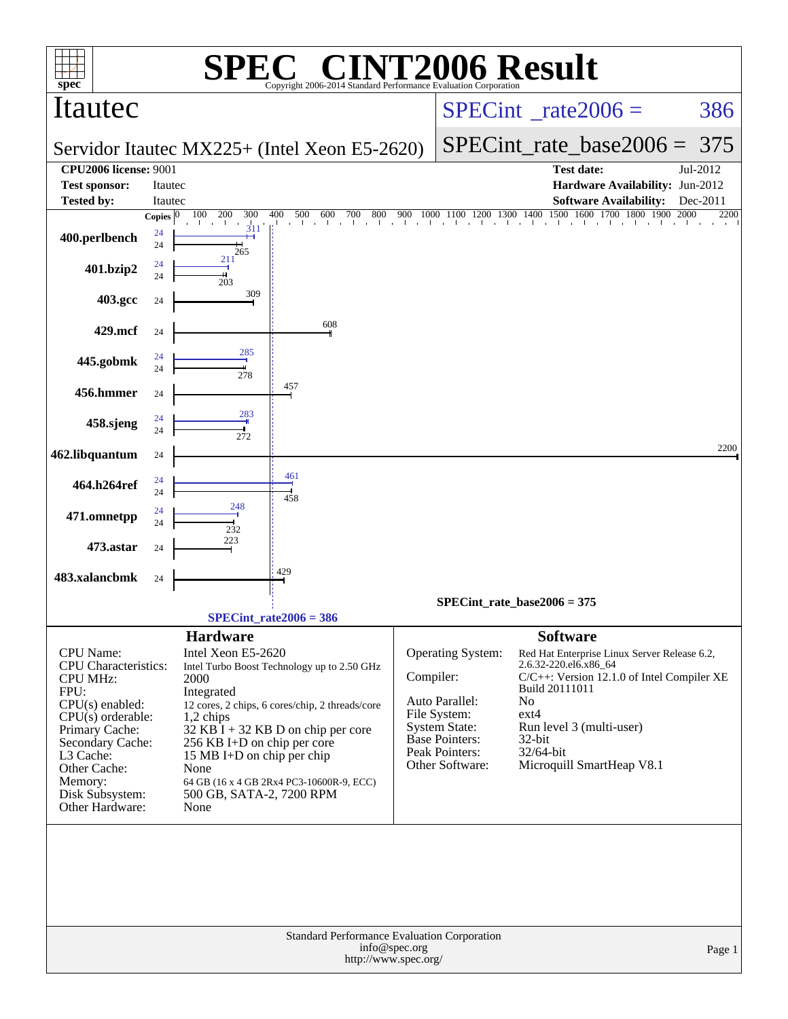| spec®                                    |              | SPE)                                  | $\bigcap$ $\bigcap$<br>Copyright 2006-2014 Standard Performance Evaluation Corporation |               | <b>INT2006 Result</b>                    |                       |                                                                                                                    |              |
|------------------------------------------|--------------|---------------------------------------|----------------------------------------------------------------------------------------|---------------|------------------------------------------|-----------------------|--------------------------------------------------------------------------------------------------------------------|--------------|
| Itautec                                  |              |                                       |                                                                                        |               | $SPECint^{\circ}$ <sub>_rate2006</sub> = |                       |                                                                                                                    | 386          |
|                                          |              |                                       | Servidor Itautec MX225+ (Intel Xeon E5-2620)                                           |               |                                          |                       | $SPECint_rate_base2006 =$                                                                                          | 375          |
| <b>CPU2006 license: 9001</b>             |              |                                       |                                                                                        |               |                                          |                       | <b>Test date:</b>                                                                                                  | Jul-2012     |
| <b>Test sponsor:</b>                     | Itautec      |                                       |                                                                                        |               |                                          |                       | Hardware Availability: Jun-2012                                                                                    |              |
| <b>Tested by:</b>                        | Itautec      |                                       |                                                                                        |               |                                          |                       | <b>Software Availability:</b>                                                                                      | Dec-2011     |
|                                          | Copies $ 0 $ | 100<br>200<br>300<br>311              | 400<br>500<br>600<br>700<br>800                                                        | 900           |                                          |                       | $\begin{array}{c ccccc} 1000 & 1100 & 1200 & 1300 & 1400 & 1500 & 1600 & 1700 & 1800 & 1900 \\ \hline \end{array}$ | 2000<br>2200 |
| 400.perlbench                            | 24<br>24     |                                       |                                                                                        |               |                                          |                       |                                                                                                                    |              |
|                                          |              | 265<br>211                            |                                                                                        |               |                                          |                       |                                                                                                                    |              |
| 401.bzip2                                | 24<br>24     | 203                                   |                                                                                        |               |                                          |                       |                                                                                                                    |              |
|                                          |              | 309                                   |                                                                                        |               |                                          |                       |                                                                                                                    |              |
| 403.gcc                                  | 24           |                                       |                                                                                        |               |                                          |                       |                                                                                                                    |              |
| 429.mcf                                  | 24           |                                       | 608                                                                                    |               |                                          |                       |                                                                                                                    |              |
|                                          |              |                                       |                                                                                        |               |                                          |                       |                                                                                                                    |              |
| 445.gobmk                                | 24<br>24     | 285                                   |                                                                                        |               |                                          |                       |                                                                                                                    |              |
|                                          |              | 278                                   | 457                                                                                    |               |                                          |                       |                                                                                                                    |              |
| 456.hmmer                                | 24           |                                       |                                                                                        |               |                                          |                       |                                                                                                                    |              |
|                                          | 24           | 283                                   |                                                                                        |               |                                          |                       |                                                                                                                    |              |
| 458.sjeng                                | 24           | 272                                   |                                                                                        |               |                                          |                       |                                                                                                                    |              |
| 462.libquantum                           | 24           |                                       |                                                                                        |               |                                          |                       |                                                                                                                    | 2200         |
|                                          |              |                                       |                                                                                        |               |                                          |                       |                                                                                                                    |              |
| 464.h264ref                              | 24<br>24     |                                       | 461                                                                                    |               |                                          |                       |                                                                                                                    |              |
|                                          |              | 248                                   | 458                                                                                    |               |                                          |                       |                                                                                                                    |              |
| 471.omnetpp                              | 24<br>24     |                                       |                                                                                        |               |                                          |                       |                                                                                                                    |              |
|                                          |              | 232<br>223                            |                                                                                        |               |                                          |                       |                                                                                                                    |              |
| 473.astar                                | 24           |                                       |                                                                                        |               |                                          |                       |                                                                                                                    |              |
| 483.xalancbmk                            | 24           |                                       | 429                                                                                    |               |                                          |                       |                                                                                                                    |              |
|                                          |              |                                       |                                                                                        |               |                                          |                       |                                                                                                                    |              |
|                                          |              |                                       |                                                                                        |               | $SPECint_rate_base2006 = 375$            |                       |                                                                                                                    |              |
|                                          |              |                                       | $SPECint_rate2006 = 386$                                                               |               |                                          |                       |                                                                                                                    |              |
| CPU Name:                                |              | <b>Hardware</b><br>Intel Xeon E5-2620 |                                                                                        |               |                                          | <b>Software</b>       |                                                                                                                    |              |
| <b>CPU</b> Characteristics:              |              |                                       | Intel Turbo Boost Technology up to 2.50 GHz                                            |               | Operating System:                        | 2.6.32-220.el6.x86_64 | Red Hat Enterprise Linux Server Release 6.2,                                                                       |              |
| <b>CPU MHz:</b>                          |              | 2000                                  |                                                                                        | Compiler:     |                                          |                       | C/C++: Version 12.1.0 of Intel Compiler XE                                                                         |              |
| FPU:                                     |              | Integrated                            |                                                                                        |               | Auto Parallel:                           | Build 20111011<br>No  |                                                                                                                    |              |
| $CPU(s)$ enabled:<br>$CPU(s)$ orderable: |              | 1,2 chips                             | 12 cores, 2 chips, 6 cores/chip, 2 threads/core                                        |               | File System:                             | $ext{4}$              |                                                                                                                    |              |
| Primary Cache:                           |              |                                       | $32$ KB $\hat{I}$ + 32 KB D on chip per core                                           |               | <b>System State:</b>                     |                       | Run level 3 (multi-user)                                                                                           |              |
| Secondary Cache:                         |              | 256 KB I+D on chip per core           |                                                                                        |               | <b>Base Pointers:</b>                    | 32-bit                |                                                                                                                    |              |
| L3 Cache:                                |              | 15 MB I+D on chip per chip            |                                                                                        |               | Peak Pointers:<br>Other Software:        | 32/64-bit             | Microquill SmartHeap V8.1                                                                                          |              |
| Other Cache:<br>Memory:                  |              | None                                  | 64 GB (16 x 4 GB 2Rx4 PC3-10600R-9, ECC)                                               |               |                                          |                       |                                                                                                                    |              |
| Disk Subsystem:                          |              | 500 GB, SATA-2, 7200 RPM              |                                                                                        |               |                                          |                       |                                                                                                                    |              |
| Other Hardware:                          |              | None                                  |                                                                                        |               |                                          |                       |                                                                                                                    |              |
|                                          |              |                                       |                                                                                        |               |                                          |                       |                                                                                                                    |              |
|                                          |              |                                       |                                                                                        |               |                                          |                       |                                                                                                                    |              |
|                                          |              |                                       |                                                                                        |               |                                          |                       |                                                                                                                    |              |
|                                          |              |                                       |                                                                                        |               |                                          |                       |                                                                                                                    |              |
|                                          |              |                                       |                                                                                        |               |                                          |                       |                                                                                                                    |              |
|                                          |              |                                       |                                                                                        |               |                                          |                       |                                                                                                                    |              |
|                                          |              |                                       | Standard Performance Evaluation Corporation                                            |               |                                          |                       |                                                                                                                    |              |
|                                          |              |                                       |                                                                                        | info@spec.org |                                          |                       |                                                                                                                    | Page 1       |
|                                          |              |                                       | http://www.spec.org/                                                                   |               |                                          |                       |                                                                                                                    |              |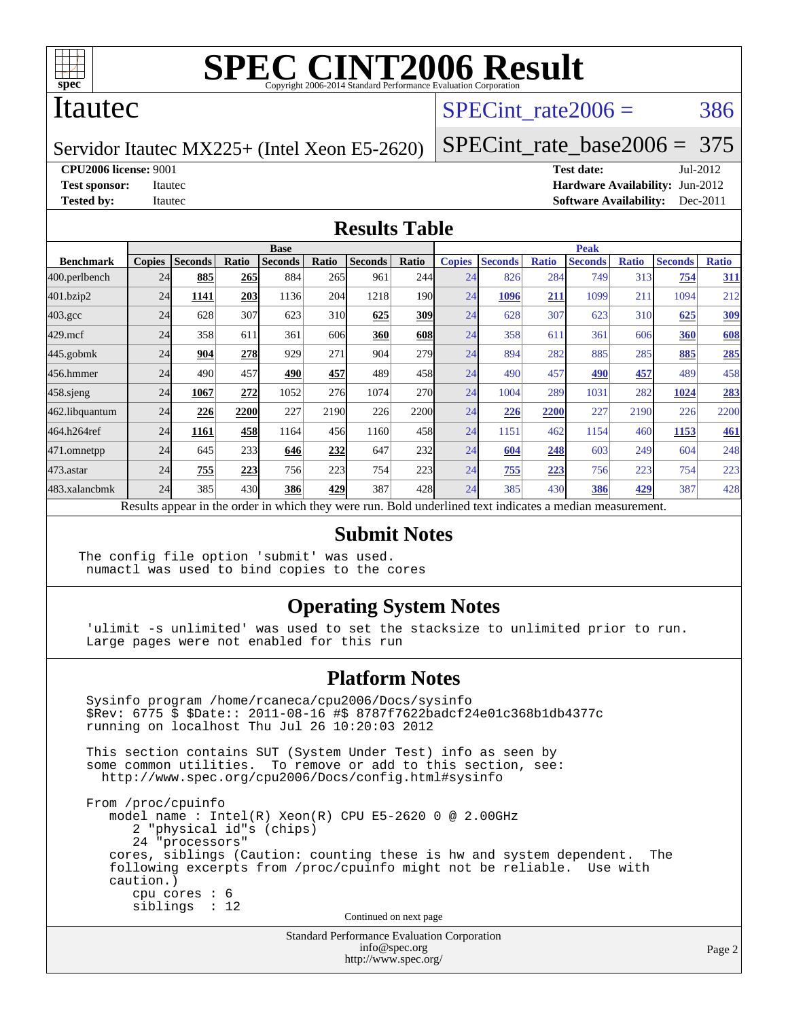

#### Itautec

## SPECint rate $2006 = 386$

Servidor Itautec MX225+ (Intel Xeon E5-2620)

[SPECint\\_rate\\_base2006 =](http://www.spec.org/auto/cpu2006/Docs/result-fields.html#SPECintratebase2006) 375

**[CPU2006 license:](http://www.spec.org/auto/cpu2006/Docs/result-fields.html#CPU2006license)** 9001 **[Test date:](http://www.spec.org/auto/cpu2006/Docs/result-fields.html#Testdate)** Jul-2012

**[Test sponsor:](http://www.spec.org/auto/cpu2006/Docs/result-fields.html#Testsponsor)** Itautec **[Hardware Availability:](http://www.spec.org/auto/cpu2006/Docs/result-fields.html#HardwareAvailability)** Jun-2012 **[Tested by:](http://www.spec.org/auto/cpu2006/Docs/result-fields.html#Testedby)** Itautec **Italien Contract Contract Contract Contract Contract Contract Contract Contract Contract Contract Contract Contract Contract Contract Contract Contract Contract Contract Contract Contract Contract Con** 

#### **[Results Table](http://www.spec.org/auto/cpu2006/Docs/result-fields.html#ResultsTable)**

|                    |               |                                                                                                                                                  |       | <b>Base</b>    |                 |                |            |               |                |              | <b>Peak</b>    |              |                |              |
|--------------------|---------------|--------------------------------------------------------------------------------------------------------------------------------------------------|-------|----------------|-----------------|----------------|------------|---------------|----------------|--------------|----------------|--------------|----------------|--------------|
| <b>Benchmark</b>   | <b>Copies</b> | <b>Seconds</b>                                                                                                                                   | Ratio | <b>Seconds</b> | Ratio           | <b>Seconds</b> | Ratio      | <b>Copies</b> | <b>Seconds</b> | <b>Ratio</b> | <b>Seconds</b> | <b>Ratio</b> | <b>Seconds</b> | <b>Ratio</b> |
| 400.perlbench      | 24            | 885                                                                                                                                              | 265   | 884            | 265             | 961            | 244        | 24            | 826            | 284          | 749            | 313          | 754            | <u>311</u>   |
| 401.bzip2          | 24            | 1141                                                                                                                                             | 203   | 1136           | 204             | 1218           | 190I       | 24            | 1096           | 211          | 1099           | 211          | 1094           | 212          |
| $403.\mathrm{gcc}$ | 24            | 628                                                                                                                                              | 307   | 623            | 31 <sub>0</sub> | 625            | 309        | 24            | 628            | 307          | 623            | 310          | 625            | <b>309</b>   |
| $429$ .mcf         | 24            | 358                                                                                                                                              | 611   | 361            | 606             | 360            | 608        | 24            | 358            | 611          | 361            | 606          | 360            | 608          |
| $445$ .gobmk       | 24            | 904                                                                                                                                              | 278   | 929            | 271             | 904            | 279        | 24            | 894            | 282          | 885            | 285          | 885            | 285          |
| 456.hmmer          | 24            | 490                                                                                                                                              | 457   | 490            | 457             | 489            | 458        | 24            | 490            | 457          | 490            | 457          | 489            | 458          |
| $458$ .sjeng       | 24            | 1067                                                                                                                                             | 272   | 1052           | 276             | 1074           | <b>270</b> | 24            | 1004           | 289          | 1031           | 282          | 1024           | 283          |
| 462.libquantum     | 24            | 226                                                                                                                                              | 2200  | 227            | 2190            | 226            | 2200       | 24            | 226            | 2200         | 227            | 2190         | 226            | 2200         |
| 464.h264ref        | 24            | 1161                                                                                                                                             | 458   | 1164           | 456             | 1160           | 458        | 24            | 1151           | 462          | 1154           | 460          | 1153           | 461          |
| 471.omnetpp        | 24            | 645                                                                                                                                              | 233   | 646            | 232             | 647            | 232        | 24            | 604            | 248          | 603            | 249          | 604            | 248          |
| 473.astar          | 24            | 755                                                                                                                                              | 223   | 756            | 223             | 754            | 223        | 24            | 755            | 223          | 756            | 223          | 754            | 223          |
| 483.xalancbmk      |               | 385                                                                                                                                              |       | 386            |                 | 387            |            |               | 385            |              | 386            | 429          | 387            | 428          |
|                    |               | 24<br>430<br>429<br>24<br>430<br>428<br>Results appear in the order in which they were run. Bold underlined text indicates a median measurement. |       |                |                 |                |            |               |                |              |                |              |                |              |

#### **[Submit Notes](http://www.spec.org/auto/cpu2006/Docs/result-fields.html#SubmitNotes)**

The config file option 'submit' was used. numactl was used to bind copies to the cores

#### **[Operating System Notes](http://www.spec.org/auto/cpu2006/Docs/result-fields.html#OperatingSystemNotes)**

 'ulimit -s unlimited' was used to set the stacksize to unlimited prior to run. Large pages were not enabled for this run

#### **[Platform Notes](http://www.spec.org/auto/cpu2006/Docs/result-fields.html#PlatformNotes)**

 Sysinfo program /home/rcaneca/cpu2006/Docs/sysinfo \$Rev: 6775 \$ \$Date:: 2011-08-16 #\$ 8787f7622badcf24e01c368b1db4377c running on localhost Thu Jul 26 10:20:03 2012 This section contains SUT (System Under Test) info as seen by some common utilities. To remove or add to this section, see: <http://www.spec.org/cpu2006/Docs/config.html#sysinfo> From /proc/cpuinfo model name : Intel(R) Xeon(R) CPU E5-2620 0 @ 2.00GHz 2 "physical id"s (chips) 24 "processors" cores, siblings (Caution: counting these is hw and system dependent. The following excerpts from /proc/cpuinfo might not be reliable. Use with caution.) cpu cores : 6 siblings : 12 Continued on next page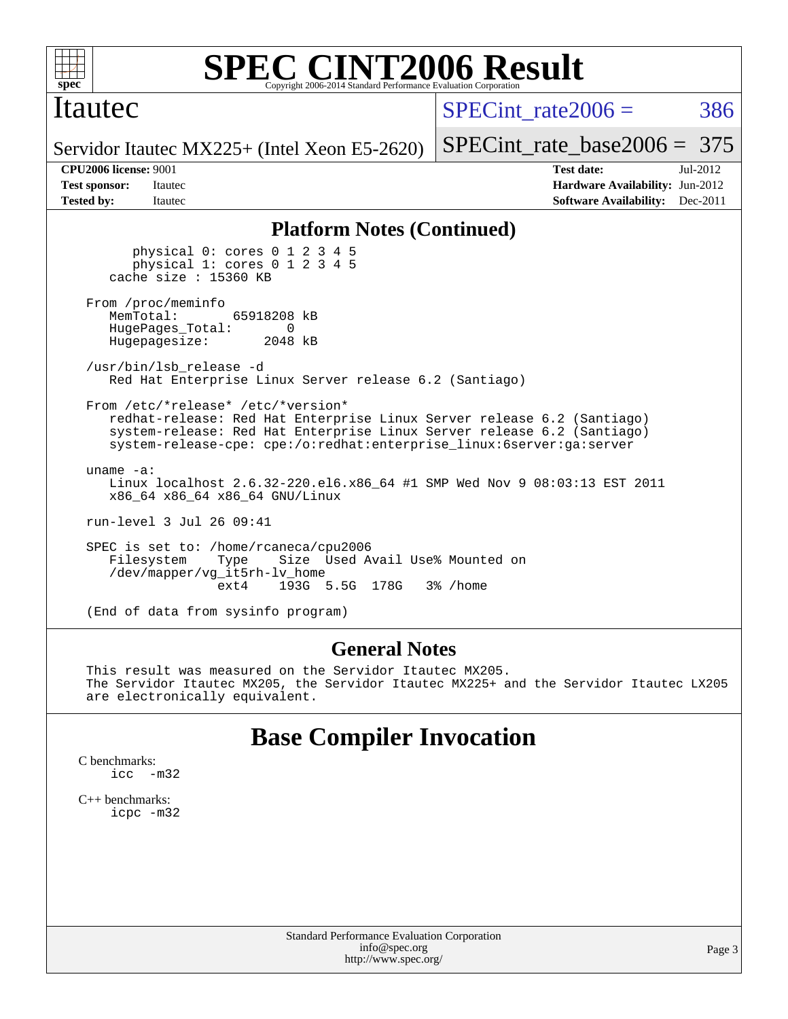

### Itautec

SPECint rate $2006 = 386$ 

Servidor Itautec MX225+ (Intel Xeon E5-2620)

[SPECint\\_rate\\_base2006 =](http://www.spec.org/auto/cpu2006/Docs/result-fields.html#SPECintratebase2006) 375 **[CPU2006 license:](http://www.spec.org/auto/cpu2006/Docs/result-fields.html#CPU2006license)** 9001 **[Test date:](http://www.spec.org/auto/cpu2006/Docs/result-fields.html#Testdate)** Jul-2012

**[Test sponsor:](http://www.spec.org/auto/cpu2006/Docs/result-fields.html#Testsponsor)** Itautec **[Hardware Availability:](http://www.spec.org/auto/cpu2006/Docs/result-fields.html#HardwareAvailability)** Jun-2012 **[Tested by:](http://www.spec.org/auto/cpu2006/Docs/result-fields.html#Testedby)** Itautec **Italien Controllering Controllering [Software Availability:](http://www.spec.org/auto/cpu2006/Docs/result-fields.html#SoftwareAvailability)** Dec-2011

#### **[Platform Notes \(Continued\)](http://www.spec.org/auto/cpu2006/Docs/result-fields.html#PlatformNotes)**

 physical 0: cores 0 1 2 3 4 5 physical 1: cores 0 1 2 3 4 5 cache size : 15360 KB From /proc/meminfo<br>MemTotal: 65918208 kB HugePages\_Total: 0<br>Hugepagesize: 2048 kB Hugepagesize: /usr/bin/lsb\_release -d Red Hat Enterprise Linux Server release 6.2 (Santiago) From /etc/\*release\* /etc/\*version\* redhat-release: Red Hat Enterprise Linux Server release 6.2 (Santiago) system-release: Red Hat Enterprise Linux Server release 6.2 (Santiago) system-release-cpe: cpe:/o:redhat:enterprise\_linux:6server:ga:server uname -a: Linux localhost 2.6.32-220.el6.x86\_64 #1 SMP Wed Nov 9 08:03:13 EST 2011 x86\_64 x86\_64 x86\_64 GNU/Linux run-level 3 Jul 26 09:41 SPEC is set to: /home/rcaneca/cpu2006 Filesystem Type Size Used Avail Use% Mounted on /dev/mapper/vg\_it5rh-lv\_home ext4 193G 5.5G 178G 3% /home

(End of data from sysinfo program)

#### **[General Notes](http://www.spec.org/auto/cpu2006/Docs/result-fields.html#GeneralNotes)**

 This result was measured on the Servidor Itautec MX205. The Servidor Itautec MX205, the Servidor Itautec MX225+ and the Servidor Itautec LX205 are electronically equivalent.

## **[Base Compiler Invocation](http://www.spec.org/auto/cpu2006/Docs/result-fields.html#BaseCompilerInvocation)**

[C benchmarks](http://www.spec.org/auto/cpu2006/Docs/result-fields.html#Cbenchmarks): [icc -m32](http://www.spec.org/cpu2006/results/res2012q3/cpu2006-20120727-23877.flags.html#user_CCbase_intel_icc_5ff4a39e364c98233615fdd38438c6f2)

[C++ benchmarks:](http://www.spec.org/auto/cpu2006/Docs/result-fields.html#CXXbenchmarks) [icpc -m32](http://www.spec.org/cpu2006/results/res2012q3/cpu2006-20120727-23877.flags.html#user_CXXbase_intel_icpc_4e5a5ef1a53fd332b3c49e69c3330699)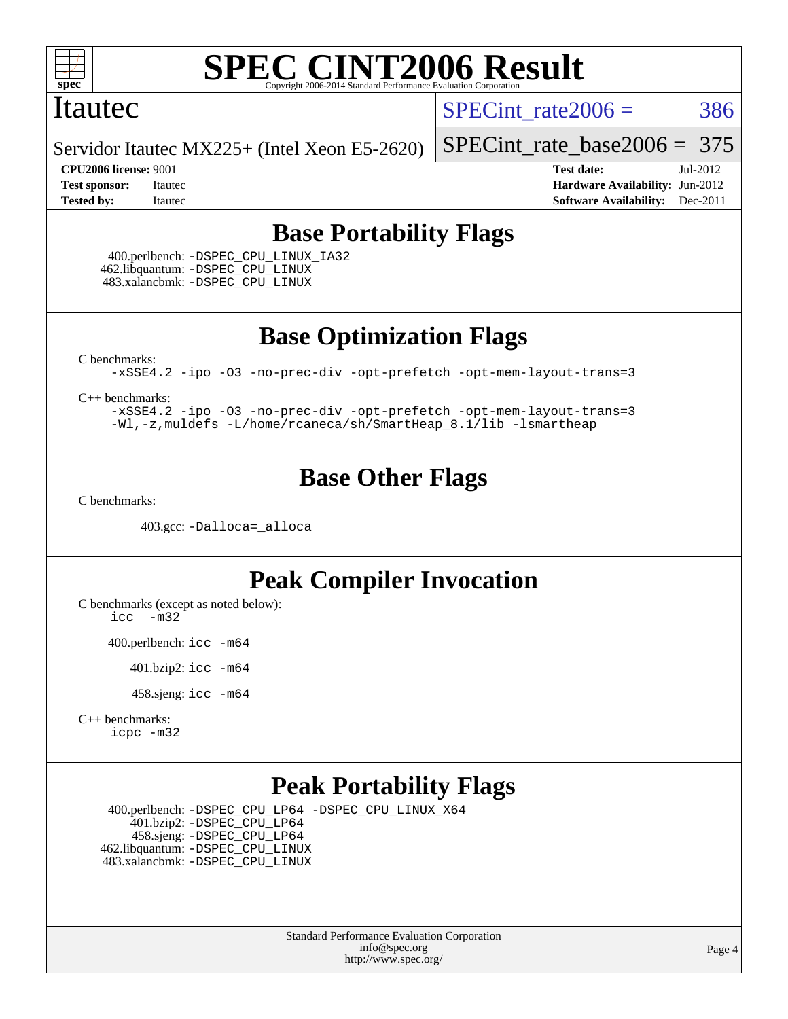

#### Itautec

SPECint rate $2006 = 386$ 

Servidor Itautec MX225+ (Intel Xeon E5-2620)

#### **[CPU2006 license:](http://www.spec.org/auto/cpu2006/Docs/result-fields.html#CPU2006license)** 9001 **[Test date:](http://www.spec.org/auto/cpu2006/Docs/result-fields.html#Testdate)** Jul-2012

[SPECint\\_rate\\_base2006 =](http://www.spec.org/auto/cpu2006/Docs/result-fields.html#SPECintratebase2006) 375

**[Test sponsor:](http://www.spec.org/auto/cpu2006/Docs/result-fields.html#Testsponsor)** Itautec **[Hardware Availability:](http://www.spec.org/auto/cpu2006/Docs/result-fields.html#HardwareAvailability)** Jun-2012 **[Tested by:](http://www.spec.org/auto/cpu2006/Docs/result-fields.html#Testedby)** Itautec **Italien Contract Contract Contract Contract Contract Contract Contract Contract Contract Contract Contract Contract Contract Contract Contract Contract Contract Contract Contract Contract Contract Con** 

# **[Base Portability Flags](http://www.spec.org/auto/cpu2006/Docs/result-fields.html#BasePortabilityFlags)**

 400.perlbench: [-DSPEC\\_CPU\\_LINUX\\_IA32](http://www.spec.org/cpu2006/results/res2012q3/cpu2006-20120727-23877.flags.html#b400.perlbench_baseCPORTABILITY_DSPEC_CPU_LINUX_IA32) 462.libquantum: [-DSPEC\\_CPU\\_LINUX](http://www.spec.org/cpu2006/results/res2012q3/cpu2006-20120727-23877.flags.html#b462.libquantum_baseCPORTABILITY_DSPEC_CPU_LINUX) 483.xalancbmk: [-DSPEC\\_CPU\\_LINUX](http://www.spec.org/cpu2006/results/res2012q3/cpu2006-20120727-23877.flags.html#b483.xalancbmk_baseCXXPORTABILITY_DSPEC_CPU_LINUX)

**[Base Optimization Flags](http://www.spec.org/auto/cpu2006/Docs/result-fields.html#BaseOptimizationFlags)**

[C benchmarks](http://www.spec.org/auto/cpu2006/Docs/result-fields.html#Cbenchmarks):

[-xSSE4.2](http://www.spec.org/cpu2006/results/res2012q3/cpu2006-20120727-23877.flags.html#user_CCbase_f-xSSE42_f91528193cf0b216347adb8b939d4107) [-ipo](http://www.spec.org/cpu2006/results/res2012q3/cpu2006-20120727-23877.flags.html#user_CCbase_f-ipo) [-O3](http://www.spec.org/cpu2006/results/res2012q3/cpu2006-20120727-23877.flags.html#user_CCbase_f-O3) [-no-prec-div](http://www.spec.org/cpu2006/results/res2012q3/cpu2006-20120727-23877.flags.html#user_CCbase_f-no-prec-div) [-opt-prefetch](http://www.spec.org/cpu2006/results/res2012q3/cpu2006-20120727-23877.flags.html#user_CCbase_f-opt-prefetch) [-opt-mem-layout-trans=3](http://www.spec.org/cpu2006/results/res2012q3/cpu2006-20120727-23877.flags.html#user_CCbase_f-opt-mem-layout-trans_a7b82ad4bd7abf52556d4961a2ae94d5)

[C++ benchmarks:](http://www.spec.org/auto/cpu2006/Docs/result-fields.html#CXXbenchmarks)

[-xSSE4.2](http://www.spec.org/cpu2006/results/res2012q3/cpu2006-20120727-23877.flags.html#user_CXXbase_f-xSSE42_f91528193cf0b216347adb8b939d4107) [-ipo](http://www.spec.org/cpu2006/results/res2012q3/cpu2006-20120727-23877.flags.html#user_CXXbase_f-ipo) [-O3](http://www.spec.org/cpu2006/results/res2012q3/cpu2006-20120727-23877.flags.html#user_CXXbase_f-O3) [-no-prec-div](http://www.spec.org/cpu2006/results/res2012q3/cpu2006-20120727-23877.flags.html#user_CXXbase_f-no-prec-div) [-opt-prefetch](http://www.spec.org/cpu2006/results/res2012q3/cpu2006-20120727-23877.flags.html#user_CXXbase_f-opt-prefetch) [-opt-mem-layout-trans=3](http://www.spec.org/cpu2006/results/res2012q3/cpu2006-20120727-23877.flags.html#user_CXXbase_f-opt-mem-layout-trans_a7b82ad4bd7abf52556d4961a2ae94d5) [-Wl,-z,muldefs](http://www.spec.org/cpu2006/results/res2012q3/cpu2006-20120727-23877.flags.html#user_CXXbase_link_force_multiple1_74079c344b956b9658436fd1b6dd3a8a) [-L/home/rcaneca/sh/SmartHeap\\_8.1/lib -lsmartheap](http://www.spec.org/cpu2006/results/res2012q3/cpu2006-20120727-23877.flags.html#user_CXXbase_SmartHeap_0f3a9c58980a95eacf4c6b7a458c149d)

# **[Base Other Flags](http://www.spec.org/auto/cpu2006/Docs/result-fields.html#BaseOtherFlags)**

[C benchmarks](http://www.spec.org/auto/cpu2006/Docs/result-fields.html#Cbenchmarks):

403.gcc: [-Dalloca=\\_alloca](http://www.spec.org/cpu2006/results/res2012q3/cpu2006-20120727-23877.flags.html#b403.gcc_baseEXTRA_CFLAGS_Dalloca_be3056838c12de2578596ca5467af7f3)

## **[Peak Compiler Invocation](http://www.spec.org/auto/cpu2006/Docs/result-fields.html#PeakCompilerInvocation)**

[C benchmarks \(except as noted below\)](http://www.spec.org/auto/cpu2006/Docs/result-fields.html#Cbenchmarksexceptasnotedbelow):

[icc -m32](http://www.spec.org/cpu2006/results/res2012q3/cpu2006-20120727-23877.flags.html#user_CCpeak_intel_icc_5ff4a39e364c98233615fdd38438c6f2)

400.perlbench: [icc -m64](http://www.spec.org/cpu2006/results/res2012q3/cpu2006-20120727-23877.flags.html#user_peakCCLD400_perlbench_intel_icc_64bit_bda6cc9af1fdbb0edc3795bac97ada53)

401.bzip2: [icc -m64](http://www.spec.org/cpu2006/results/res2012q3/cpu2006-20120727-23877.flags.html#user_peakCCLD401_bzip2_intel_icc_64bit_bda6cc9af1fdbb0edc3795bac97ada53)

458.sjeng: [icc -m64](http://www.spec.org/cpu2006/results/res2012q3/cpu2006-20120727-23877.flags.html#user_peakCCLD458_sjeng_intel_icc_64bit_bda6cc9af1fdbb0edc3795bac97ada53)

```
C++ benchmarks: 
icpc -m32
```
## **[Peak Portability Flags](http://www.spec.org/auto/cpu2006/Docs/result-fields.html#PeakPortabilityFlags)**

 400.perlbench: [-DSPEC\\_CPU\\_LP64](http://www.spec.org/cpu2006/results/res2012q3/cpu2006-20120727-23877.flags.html#b400.perlbench_peakCPORTABILITY_DSPEC_CPU_LP64) [-DSPEC\\_CPU\\_LINUX\\_X64](http://www.spec.org/cpu2006/results/res2012q3/cpu2006-20120727-23877.flags.html#b400.perlbench_peakCPORTABILITY_DSPEC_CPU_LINUX_X64) 401.bzip2: [-DSPEC\\_CPU\\_LP64](http://www.spec.org/cpu2006/results/res2012q3/cpu2006-20120727-23877.flags.html#suite_peakCPORTABILITY401_bzip2_DSPEC_CPU_LP64) 458.sjeng: [-DSPEC\\_CPU\\_LP64](http://www.spec.org/cpu2006/results/res2012q3/cpu2006-20120727-23877.flags.html#suite_peakCPORTABILITY458_sjeng_DSPEC_CPU_LP64) 462.libquantum: [-DSPEC\\_CPU\\_LINUX](http://www.spec.org/cpu2006/results/res2012q3/cpu2006-20120727-23877.flags.html#b462.libquantum_peakCPORTABILITY_DSPEC_CPU_LINUX) 483.xalancbmk: [-DSPEC\\_CPU\\_LINUX](http://www.spec.org/cpu2006/results/res2012q3/cpu2006-20120727-23877.flags.html#b483.xalancbmk_peakCXXPORTABILITY_DSPEC_CPU_LINUX)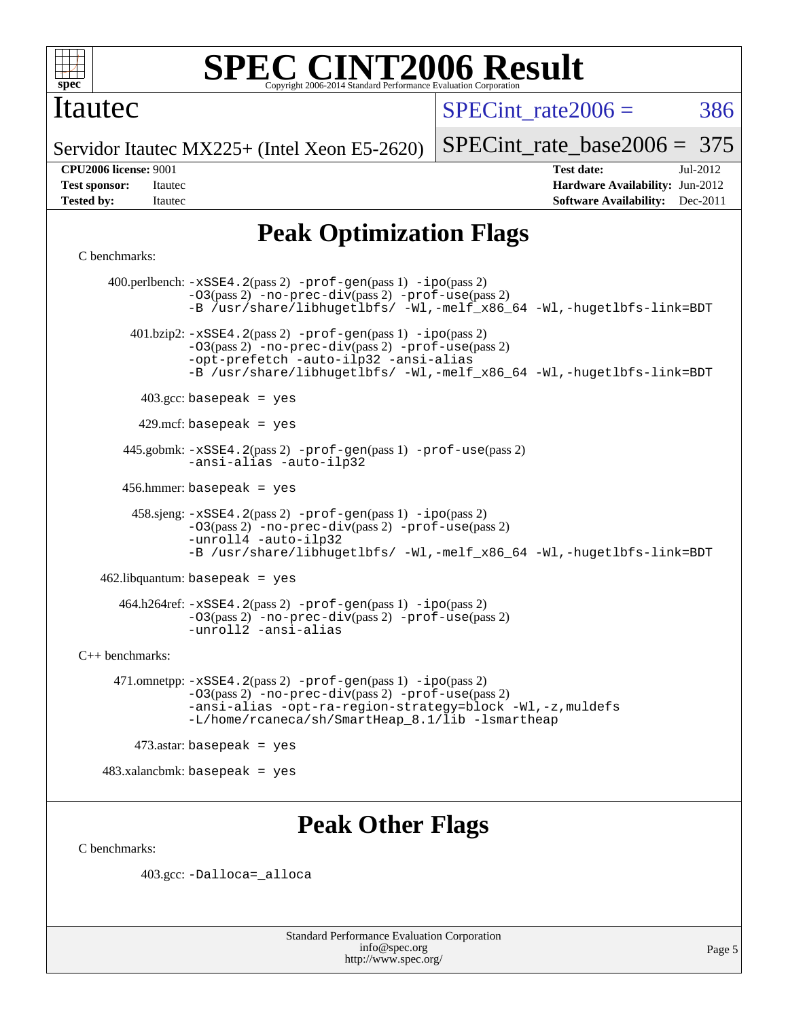

### Itautec

SPECint rate $2006 = 386$ 

[SPECint\\_rate\\_base2006 =](http://www.spec.org/auto/cpu2006/Docs/result-fields.html#SPECintratebase2006) 375

Servidor Itautec MX225+ (Intel Xeon E5-2620)

**[Tested by:](http://www.spec.org/auto/cpu2006/Docs/result-fields.html#Testedby)** Itautec **Italien Contract Contract Contract Contract Contract Contract Contract Contract Contract Contract Contract Contract Contract Contract Contract Contract Contract Contract Contract Contract Contract Con** 

**[CPU2006 license:](http://www.spec.org/auto/cpu2006/Docs/result-fields.html#CPU2006license)** 9001 **[Test date:](http://www.spec.org/auto/cpu2006/Docs/result-fields.html#Testdate)** Jul-2012 **[Test sponsor:](http://www.spec.org/auto/cpu2006/Docs/result-fields.html#Testsponsor)** Itautec **[Hardware Availability:](http://www.spec.org/auto/cpu2006/Docs/result-fields.html#HardwareAvailability)** Jun-2012

# **[Peak Optimization Flags](http://www.spec.org/auto/cpu2006/Docs/result-fields.html#PeakOptimizationFlags)**

#### [C benchmarks](http://www.spec.org/auto/cpu2006/Docs/result-fields.html#Cbenchmarks):

 400.perlbench: [-xSSE4.2](http://www.spec.org/cpu2006/results/res2012q3/cpu2006-20120727-23877.flags.html#user_peakPASS2_CFLAGSPASS2_LDCFLAGS400_perlbench_f-xSSE42_f91528193cf0b216347adb8b939d4107)(pass 2) [-prof-gen](http://www.spec.org/cpu2006/results/res2012q3/cpu2006-20120727-23877.flags.html#user_peakPASS1_CFLAGSPASS1_LDCFLAGS400_perlbench_prof_gen_e43856698f6ca7b7e442dfd80e94a8fc)(pass 1) [-ipo](http://www.spec.org/cpu2006/results/res2012q3/cpu2006-20120727-23877.flags.html#user_peakPASS2_CFLAGSPASS2_LDCFLAGS400_perlbench_f-ipo)(pass 2) [-O3](http://www.spec.org/cpu2006/results/res2012q3/cpu2006-20120727-23877.flags.html#user_peakPASS2_CFLAGSPASS2_LDCFLAGS400_perlbench_f-O3)(pass 2) [-no-prec-div](http://www.spec.org/cpu2006/results/res2012q3/cpu2006-20120727-23877.flags.html#user_peakPASS2_CFLAGSPASS2_LDCFLAGS400_perlbench_f-no-prec-div)(pass 2) [-prof-use](http://www.spec.org/cpu2006/results/res2012q3/cpu2006-20120727-23877.flags.html#user_peakPASS2_CFLAGSPASS2_LDCFLAGS400_perlbench_prof_use_bccf7792157ff70d64e32fe3e1250b55)(pass 2) [-B /usr/share/libhugetlbfs/ -Wl,-melf\\_x86\\_64 -Wl,-hugetlbfs-link=BDT](http://www.spec.org/cpu2006/results/res2012q3/cpu2006-20120727-23877.flags.html#user_peakPASS1_LDOPTPASS2_LDOPT400_perlbench_link_for_large_pages_64bit_fe1717234df9d3a8c8833ff77218828e) 401.bzip2: [-xSSE4.2](http://www.spec.org/cpu2006/results/res2012q3/cpu2006-20120727-23877.flags.html#user_peakPASS2_CFLAGSPASS2_LDCFLAGS401_bzip2_f-xSSE42_f91528193cf0b216347adb8b939d4107)(pass 2) [-prof-gen](http://www.spec.org/cpu2006/results/res2012q3/cpu2006-20120727-23877.flags.html#user_peakPASS1_CFLAGSPASS1_LDCFLAGS401_bzip2_prof_gen_e43856698f6ca7b7e442dfd80e94a8fc)(pass 1) [-ipo](http://www.spec.org/cpu2006/results/res2012q3/cpu2006-20120727-23877.flags.html#user_peakPASS2_CFLAGSPASS2_LDCFLAGS401_bzip2_f-ipo)(pass 2) [-O3](http://www.spec.org/cpu2006/results/res2012q3/cpu2006-20120727-23877.flags.html#user_peakPASS2_CFLAGSPASS2_LDCFLAGS401_bzip2_f-O3)(pass 2) [-no-prec-div](http://www.spec.org/cpu2006/results/res2012q3/cpu2006-20120727-23877.flags.html#user_peakPASS2_CFLAGSPASS2_LDCFLAGS401_bzip2_f-no-prec-div)(pass 2) [-prof-use](http://www.spec.org/cpu2006/results/res2012q3/cpu2006-20120727-23877.flags.html#user_peakPASS2_CFLAGSPASS2_LDCFLAGS401_bzip2_prof_use_bccf7792157ff70d64e32fe3e1250b55)(pass 2) [-opt-prefetch](http://www.spec.org/cpu2006/results/res2012q3/cpu2006-20120727-23877.flags.html#user_peakCOPTIMIZE401_bzip2_f-opt-prefetch) [-auto-ilp32](http://www.spec.org/cpu2006/results/res2012q3/cpu2006-20120727-23877.flags.html#user_peakCOPTIMIZE401_bzip2_f-auto-ilp32) [-ansi-alias](http://www.spec.org/cpu2006/results/res2012q3/cpu2006-20120727-23877.flags.html#user_peakCOPTIMIZE401_bzip2_f-ansi-alias) [-B /usr/share/libhugetlbfs/ -Wl,-melf\\_x86\\_64 -Wl,-hugetlbfs-link=BDT](http://www.spec.org/cpu2006/results/res2012q3/cpu2006-20120727-23877.flags.html#user_peakPASS1_LDOPTPASS2_LDOPT401_bzip2_link_for_large_pages_64bit_fe1717234df9d3a8c8833ff77218828e)  $403.\text{gcc: basepeak}$  = yes  $429$ .mcf: basepeak = yes 445.gobmk: [-xSSE4.2](http://www.spec.org/cpu2006/results/res2012q3/cpu2006-20120727-23877.flags.html#user_peakPASS2_CFLAGSPASS2_LDCFLAGS445_gobmk_f-xSSE42_f91528193cf0b216347adb8b939d4107)(pass 2) [-prof-gen](http://www.spec.org/cpu2006/results/res2012q3/cpu2006-20120727-23877.flags.html#user_peakPASS1_CFLAGSPASS1_LDCFLAGS445_gobmk_prof_gen_e43856698f6ca7b7e442dfd80e94a8fc)(pass 1) [-prof-use](http://www.spec.org/cpu2006/results/res2012q3/cpu2006-20120727-23877.flags.html#user_peakPASS2_CFLAGSPASS2_LDCFLAGS445_gobmk_prof_use_bccf7792157ff70d64e32fe3e1250b55)(pass 2) [-ansi-alias](http://www.spec.org/cpu2006/results/res2012q3/cpu2006-20120727-23877.flags.html#user_peakCOPTIMIZE445_gobmk_f-ansi-alias) [-auto-ilp32](http://www.spec.org/cpu2006/results/res2012q3/cpu2006-20120727-23877.flags.html#user_peakCOPTIMIZE445_gobmk_f-auto-ilp32) 456.hmmer: basepeak = yes 458.sjeng: [-xSSE4.2](http://www.spec.org/cpu2006/results/res2012q3/cpu2006-20120727-23877.flags.html#user_peakPASS2_CFLAGSPASS2_LDCFLAGS458_sjeng_f-xSSE42_f91528193cf0b216347adb8b939d4107)(pass 2) [-prof-gen](http://www.spec.org/cpu2006/results/res2012q3/cpu2006-20120727-23877.flags.html#user_peakPASS1_CFLAGSPASS1_LDCFLAGS458_sjeng_prof_gen_e43856698f6ca7b7e442dfd80e94a8fc)(pass 1) [-ipo](http://www.spec.org/cpu2006/results/res2012q3/cpu2006-20120727-23877.flags.html#user_peakPASS2_CFLAGSPASS2_LDCFLAGS458_sjeng_f-ipo)(pass 2) [-O3](http://www.spec.org/cpu2006/results/res2012q3/cpu2006-20120727-23877.flags.html#user_peakPASS2_CFLAGSPASS2_LDCFLAGS458_sjeng_f-O3)(pass 2) [-no-prec-div](http://www.spec.org/cpu2006/results/res2012q3/cpu2006-20120727-23877.flags.html#user_peakPASS2_CFLAGSPASS2_LDCFLAGS458_sjeng_f-no-prec-div)(pass 2) [-prof-use](http://www.spec.org/cpu2006/results/res2012q3/cpu2006-20120727-23877.flags.html#user_peakPASS2_CFLAGSPASS2_LDCFLAGS458_sjeng_prof_use_bccf7792157ff70d64e32fe3e1250b55)(pass 2) [-unroll4](http://www.spec.org/cpu2006/results/res2012q3/cpu2006-20120727-23877.flags.html#user_peakCOPTIMIZE458_sjeng_f-unroll_4e5e4ed65b7fd20bdcd365bec371b81f) [-auto-ilp32](http://www.spec.org/cpu2006/results/res2012q3/cpu2006-20120727-23877.flags.html#user_peakCOPTIMIZE458_sjeng_f-auto-ilp32) [-B /usr/share/libhugetlbfs/ -Wl,-melf\\_x86\\_64 -Wl,-hugetlbfs-link=BDT](http://www.spec.org/cpu2006/results/res2012q3/cpu2006-20120727-23877.flags.html#user_peakPASS1_LDOPTPASS2_LDOPT458_sjeng_link_for_large_pages_64bit_fe1717234df9d3a8c8833ff77218828e) 462.libquantum: basepeak = yes  $464.h264$ ref:  $-xSSE4$ .  $2(pass 2)$  [-prof-gen](http://www.spec.org/cpu2006/results/res2012q3/cpu2006-20120727-23877.flags.html#user_peakPASS1_CFLAGSPASS1_LDCFLAGS464_h264ref_prof_gen_e43856698f6ca7b7e442dfd80e94a8fc)(pass 1) [-ipo](http://www.spec.org/cpu2006/results/res2012q3/cpu2006-20120727-23877.flags.html#user_peakPASS2_CFLAGSPASS2_LDCFLAGS464_h264ref_f-ipo)(pass 2) [-O3](http://www.spec.org/cpu2006/results/res2012q3/cpu2006-20120727-23877.flags.html#user_peakPASS2_CFLAGSPASS2_LDCFLAGS464_h264ref_f-O3)(pass 2) [-no-prec-div](http://www.spec.org/cpu2006/results/res2012q3/cpu2006-20120727-23877.flags.html#user_peakPASS2_CFLAGSPASS2_LDCFLAGS464_h264ref_f-no-prec-div)(pass 2) [-prof-use](http://www.spec.org/cpu2006/results/res2012q3/cpu2006-20120727-23877.flags.html#user_peakPASS2_CFLAGSPASS2_LDCFLAGS464_h264ref_prof_use_bccf7792157ff70d64e32fe3e1250b55)(pass 2) [-unroll2](http://www.spec.org/cpu2006/results/res2012q3/cpu2006-20120727-23877.flags.html#user_peakCOPTIMIZE464_h264ref_f-unroll_784dae83bebfb236979b41d2422d7ec2) [-ansi-alias](http://www.spec.org/cpu2006/results/res2012q3/cpu2006-20120727-23877.flags.html#user_peakCOPTIMIZE464_h264ref_f-ansi-alias) [C++ benchmarks:](http://www.spec.org/auto/cpu2006/Docs/result-fields.html#CXXbenchmarks) 471.omnetpp: [-xSSE4.2](http://www.spec.org/cpu2006/results/res2012q3/cpu2006-20120727-23877.flags.html#user_peakPASS2_CXXFLAGSPASS2_LDCXXFLAGS471_omnetpp_f-xSSE42_f91528193cf0b216347adb8b939d4107)(pass 2) [-prof-gen](http://www.spec.org/cpu2006/results/res2012q3/cpu2006-20120727-23877.flags.html#user_peakPASS1_CXXFLAGSPASS1_LDCXXFLAGS471_omnetpp_prof_gen_e43856698f6ca7b7e442dfd80e94a8fc)(pass 1) [-ipo](http://www.spec.org/cpu2006/results/res2012q3/cpu2006-20120727-23877.flags.html#user_peakPASS2_CXXFLAGSPASS2_LDCXXFLAGS471_omnetpp_f-ipo)(pass 2) [-O3](http://www.spec.org/cpu2006/results/res2012q3/cpu2006-20120727-23877.flags.html#user_peakPASS2_CXXFLAGSPASS2_LDCXXFLAGS471_omnetpp_f-O3)(pass 2) [-no-prec-div](http://www.spec.org/cpu2006/results/res2012q3/cpu2006-20120727-23877.flags.html#user_peakPASS2_CXXFLAGSPASS2_LDCXXFLAGS471_omnetpp_f-no-prec-div)(pass 2) [-prof-use](http://www.spec.org/cpu2006/results/res2012q3/cpu2006-20120727-23877.flags.html#user_peakPASS2_CXXFLAGSPASS2_LDCXXFLAGS471_omnetpp_prof_use_bccf7792157ff70d64e32fe3e1250b55)(pass 2) [-ansi-alias](http://www.spec.org/cpu2006/results/res2012q3/cpu2006-20120727-23877.flags.html#user_peakCXXOPTIMIZE471_omnetpp_f-ansi-alias) [-opt-ra-region-strategy=block](http://www.spec.org/cpu2006/results/res2012q3/cpu2006-20120727-23877.flags.html#user_peakCXXOPTIMIZE471_omnetpp_f-opt-ra-region-strategy_a0a37c372d03933b2a18d4af463c1f69) [-Wl,-z,muldefs](http://www.spec.org/cpu2006/results/res2012q3/cpu2006-20120727-23877.flags.html#user_peakEXTRA_LDFLAGS471_omnetpp_link_force_multiple1_74079c344b956b9658436fd1b6dd3a8a) [-L/home/rcaneca/sh/SmartHeap\\_8.1/lib -lsmartheap](http://www.spec.org/cpu2006/results/res2012q3/cpu2006-20120727-23877.flags.html#user_peakEXTRA_LIBS471_omnetpp_SmartHeap_0f3a9c58980a95eacf4c6b7a458c149d)  $473$ .astar: basepeak = yes 483.xalancbmk: basepeak = yes

# **[Peak Other Flags](http://www.spec.org/auto/cpu2006/Docs/result-fields.html#PeakOtherFlags)**

[C benchmarks](http://www.spec.org/auto/cpu2006/Docs/result-fields.html#Cbenchmarks):

403.gcc: [-Dalloca=\\_alloca](http://www.spec.org/cpu2006/results/res2012q3/cpu2006-20120727-23877.flags.html#b403.gcc_peakEXTRA_CFLAGS_Dalloca_be3056838c12de2578596ca5467af7f3)